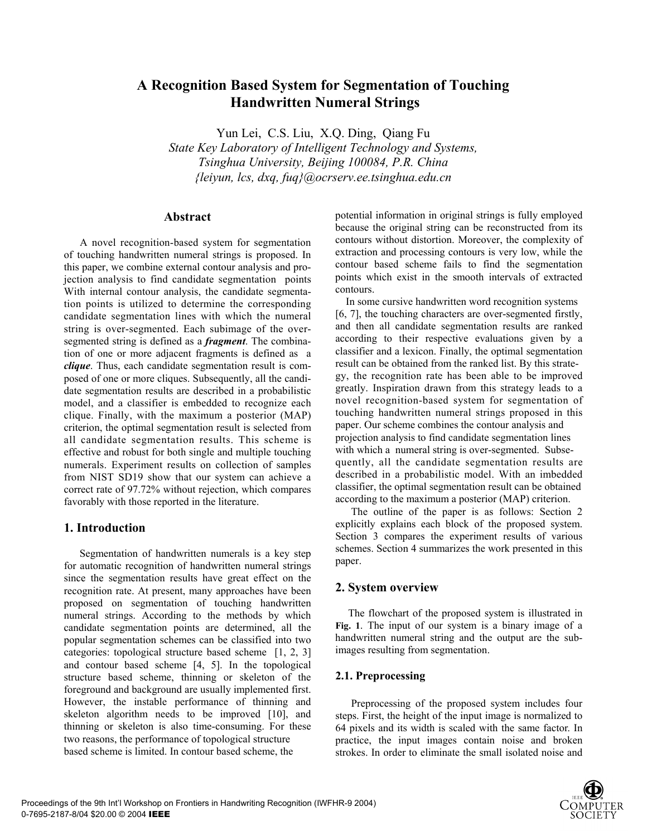# **A Recognition Based System for Segmentation of Touching Handwritten Numeral Strings**

Yun Lei, C.S. Liu, X.Q. Ding, Qiang Fu

*State Key Laboratory of Intelligent Technology and Systems, Tsinghua University, Beijing 100084, P.R. China {leiyun, lcs, dxq, fuq}@ocrserv.ee.tsinghua.edu.cn*

### **Abstract**

 A novel recognition-based system for segmentation of touching handwritten numeral strings is proposed. In this paper, we combine external contour analysis and projection analysis to find candidate segmentation points With internal contour analysis, the candidate segmentation points is utilized to determine the corresponding candidate segmentation lines with which the numeral string is over-segmented. Each subimage of the oversegmented string is defined as a *fragment*. The combination of one or more adjacent fragments is defined as a *clique*. Thus, each candidate segmentation result is composed of one or more cliques. Subsequently, all the candidate segmentation results are described in a probabilistic model, and a classifier is embedded to recognize each clique. Finally, with the maximum a posterior (MAP) criterion, the optimal segmentation result is selected from all candidate segmentation results. This scheme is effective and robust for both single and multiple touching numerals. Experiment results on collection of samples from NIST SD19 show that our system can achieve a correct rate of 97.72% without rejection, which compares favorably with those reported in the literature.

# **1. Introduction**

Segmentation of handwritten numerals is a key step for automatic recognition of handwritten numeral strings since the segmentation results have great effect on the recognition rate. At present, many approaches have been proposed on segmentation of touching handwritten numeral strings. According to the methods by which candidate segmentation points are determined, all the popular segmentation schemes can be classified into two categories: topological structure based scheme [1, 2, 3] and contour based scheme [4, 5]. In the topological structure based scheme, thinning or skeleton of the foreground and background are usually implemented first. However, the instable performance of thinning and skeleton algorithm needs to be improved [10], and thinning or skeleton is also time-consuming. For these two reasons, the performance of topological structure based scheme is limited. In contour based scheme, the

potential information in original strings is fully employed because the original string can be reconstructed from its contours without distortion. Moreover, the complexity of extraction and processing contours is very low, while the contour based scheme fails to find the segmentation points which exist in the smooth intervals of extracted contours.

In some cursive handwritten word recognition systems [6, 7], the touching characters are over-segmented firstly, and then all candidate segmentation results are ranked according to their respective evaluations given by a classifier and a lexicon. Finally, the optimal segmentation result can be obtained from the ranked list. By this strategy, the recognition rate has been able to be improved greatly. Inspiration drawn from this strategy leads to a novel recognition-based system for segmentation of touching handwritten numeral strings proposed in this paper. Our scheme combines the contour analysis and projection analysis to find candidate segmentation lines with which a numeral string is over-segmented. Subsequently, all the candidate segmentation results are described in a probabilistic model. With an imbedded classifier, the optimal segmentation result can be obtained according to the maximum a posterior (MAP) criterion.

The outline of the paper is as follows: Section 2 explicitly explains each block of the proposed system. Section 3 compares the experiment results of various schemes. Section 4 summarizes the work presented in this paper.

# **2. System overview**

The flowchart of the proposed system is illustrated in **Fig. 1**. The input of our system is a binary image of a handwritten numeral string and the output are the subimages resulting from segmentation.

# **2.1. Preprocessing**

Preprocessing of the proposed system includes four steps. First, the height of the input image is normalized to 64 pixels and its width is scaled with the same factor. In practice, the input images contain noise and broken strokes. In order to eliminate the small isolated noise and

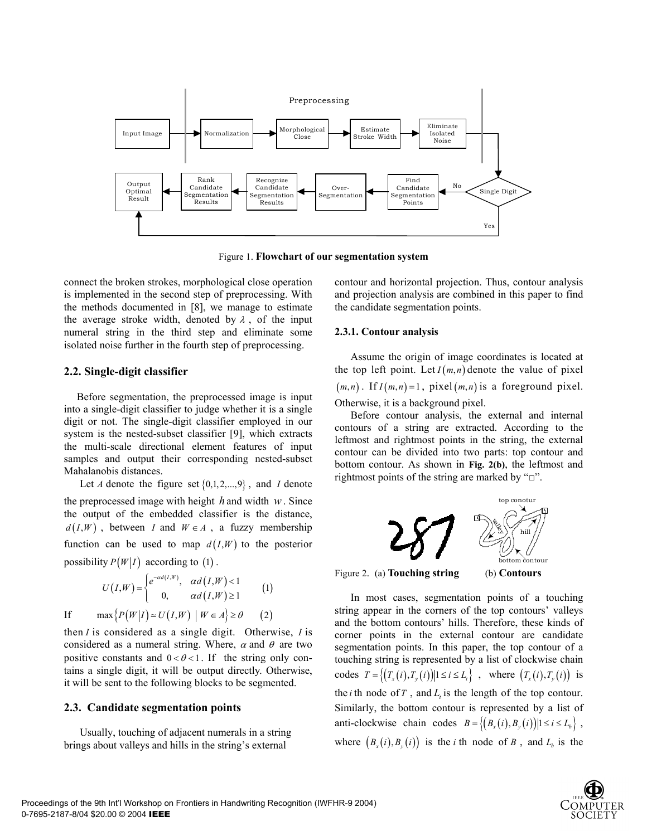

Figure 1. **Flowchart of our segmentation system**

connect the broken strokes, morphological close operation is implemented in the second step of preprocessing. With the methods documented in [8], we manage to estimate the average stroke width, denoted by  $\lambda$ , of the input numeral string in the third step and eliminate some isolated noise further in the fourth step of preprocessing.

### **2.2. Single-digit classifier**

Before segmentation, the preprocessed image is input into a single-digit classifier to judge whether it is a single digit or not. The single-digit classifier employed in our system is the nested-subset classifier [9], which extracts the multi-scale directional element features of input samples and output their corresponding nested-subset Mahalanobis distances.

Let *A* denote the figure set  $\{0,1,2,...,9\}$ , and *I* denote the preprocessed image with height *h* and width *w*. Since the output of the embedded classifier is the distance,  $d(I, W)$ , between *I* and  $W \in A$ , a fuzzy membership function can be used to map  $d(I, W)$  to the posterior possibility  $P(W|I)$  according to (1).

$$
U(I,W) = \begin{cases} e^{-\alpha d(I,W)}, & \alpha d(I,W) < 1 \\ 0, & \alpha d(I,W) \ge 1 \end{cases}
$$
 (1)

If  $\max \{ P(W|I) \simeq U(I,W) \mid W \in A \} \ge \theta$  (2)

then *I* is considered as a single digit. Otherwise, *I* is considered as a numeral string. Where,  $\alpha$  and  $\theta$  are two positive constants and  $0 < \theta < 1$ . If the string only contains a single digit, it will be output directly. Otherwise, it will be sent to the following blocks to be segmented.

### **2.3. Candidate segmentation points**

Usually, touching of adjacent numerals in a string brings about valleys and hills in the string's external

contour and horizontal projection. Thus, contour analysis and projection analysis are combined in this paper to find the candidate segmentation points.

#### **2.3.1. Contour analysis**

Assume the origin of image coordinates is located at the top left point. Let  $I(m, n)$  denote the value of pixel  $(m, n)$ . If  $I(m, n) = 1$ , pixel  $(m, n)$  is a foreground pixel. Otherwise, it is a background pixel.

Before contour analysis, the external and internal contours of a string are extracted. According to the leftmost and rightmost points in the string, the external contour can be divided into two parts: top contour and bottom contour. As shown in **Fig. 2(b)**, the leftmost and rightmost points of the string are marked by " $\Box$ ".



Figure 2. (a) **Touching string** (b) **Contours**

In most cases, segmentation points of a touching string appear in the corners of the top contours' valleys and the bottom contours' hills. Therefore, these kinds of corner points in the external contour are candidate segmentation points. In this paper, the top contour of a touching string is represented by a list of clockwise chain codes  $T = \{(T_x(i), T_y(i)) | 1 \le i \le L_i\}$ , where  $(T_x(i), T_y(i))$  is the *i* th node of  $T$ , and  $L$ , is the length of the top contour. Similarly, the bottom contour is represented by a list of anti-clockwise chain codes  $B = \{(B_x(i), B_y(i)) | 1 \le i \le L_b\}$ , where  $(B_x(i), B_y(i))$  is the *i* th node of *B*, and  $L_b$  is the

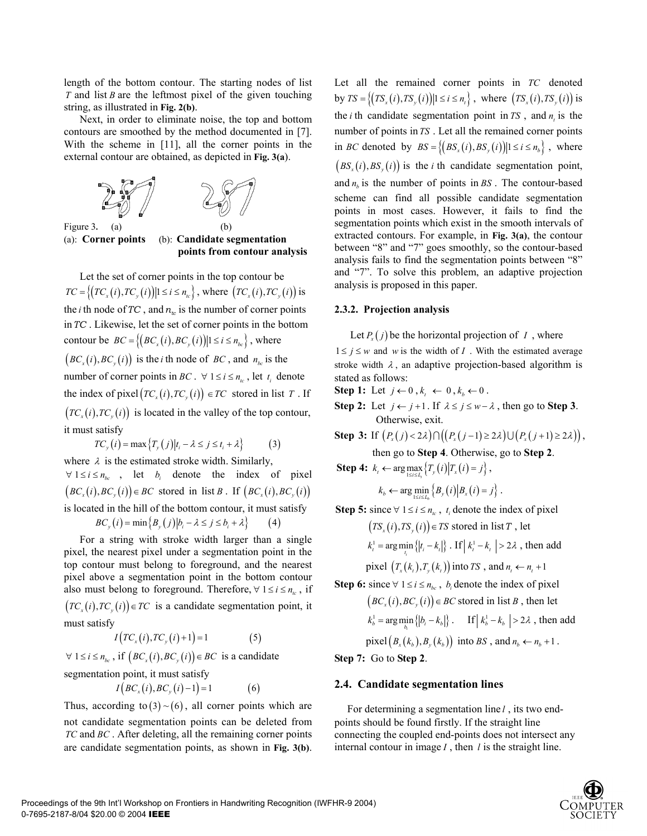length of the bottom contour. The starting nodes of list *T* and list *B* are the leftmost pixel of the given touching string, as illustrated in **Fig. 2(b)**.

Next, in order to eliminate noise, the top and bottom contours are smoothed by the method documented in [7]. With the scheme in [11], all the corner points in the external contour are obtained, as depicted in **Fig. 3(a**).





(a): **Corner points** (b): **Candidate segmentation points from contour analysis**

Let the set of corner points in the top contour be  $TC = \{(TC_x(i), TC_y(i)) | 1 \le i \le n_{tc}\}\,$ , where  $(TC_x(i), TC_y(i))$  is the *i* th node of TC, and  $n_t$  is the number of corner points in*TC* . Likewise, let the set of corner points in the bottom contour be  $BC = \left\{ (BC_x(i), BC_y(i)) | 1 \le i \le n_{bc} \right\}$ , where  $(BC<sub>x</sub>(i), BC<sub>y</sub>(i))$  is the *i* th node of *BC*, and  $n_{bc}$  is the number of corner points in *BC*.  $\forall$  1  $\leq$  *i*  $\leq$  *n<sub>ic</sub>*, let *t<sub>i</sub>* denote the index of pixel $\left(TC_x(i), TC_y(i)\right) \in TC$  stored in list *T*. If  $(TC<sub>x</sub>(i), TC<sub>y</sub>(i))$  is located in the valley of the top contour, it must satisfy

$$
TC_{y}(i) = \max\left\{T_{y}(j)|t_{i} - \lambda \leq j \leq t_{i} + \lambda\right\}
$$
 (3)

where  $\lambda$  is the estimated stroke width. Similarly,  $\forall 1 \leq i \leq n_{bc}$ , let *b<sub>i</sub>* denote the index of pixel  $(BC_x(i), BC_y(i)) \in BC$  stored in list *B*. If  $(BC_x(i), BC_y(i))$ is located in the hill of the bottom contour, it must satisfy  $BC_v(i) = \min \{ B_v(j) | b_i - \lambda \le j \le b_i + \lambda \}$ 

For a string with stroke width larger than a single pixel, the nearest pixel under a segmentation point in the top contour must belong to foreground, and the nearest pixel above a segmentation point in the bottom contour also must belong to foreground. Therefore,  $\forall$  1  $\leq i \leq n_{tc}$ , if  $(TC<sub>x</sub>(i), TC<sub>y</sub>(i)) \in TC$  is a candidate segmentation point, it must satisfy

 $I\big(TC_{\rm x}(i),TC_{\rm y}(i)+1\big)=1$  (5)

 $\forall 1 \leq i \leq n_{bc}$ , if  $(BC_x(i), BC_y(i)) \in BC$  is a candidate

segmentation point, it must satisfy

$$
I\big(BC_x(i), BC_y(i)-1\big)=1\tag{6}
$$

Thus, according to  $(3) \sim (6)$ , all corner points which are not candidate segmentation points can be deleted from *TC* and *BC* . After deleting, all the remaining corner points are candidate segmentation points, as shown in **Fig. 3(b)**. Let all the remained corner points in *TC* denoted by  $TS = \{(TS_x(i), TS_y(i)) | 1 \le i \le n_i\}$ , where  $(TS_x(i), TS_y(i))$  is the *i* th candidate segmentation point in  $TS$ , and  $n<sub>i</sub>$  is the number of points in *TS* . Let all the remained corner points in *BC* denoted by  $BS = \{(BS_x(i), BS_y(i)) | 1 \le i \le n_b\}$ , where  $(BS<sub>x</sub>(i), BS<sub>y</sub>(i))$  is the *i* th candidate segmentation point, and  $n<sub>b</sub>$  is the number of points in *BS*. The contour-based scheme can find all possible candidate segmentation points in most cases. However, it fails to find the segmentation points which exist in the smooth intervals of extracted contours. For example, in **Fig. 3(a)**, the contour between "8" and "7" goes smoothly, so the contour-based analysis fails to find the segmentation points between "8" and "7". To solve this problem, an adaptive projection analysis is proposed in this paper.

# **2.3.2. Projection analysis**

Let  $P(x)$  be the horizontal projection of *I*, where  $1 \leq j \leq w$  and *w* is the width of *I*. With the estimated average stroke width  $\lambda$ , an adaptive projection-based algorithm is stated as follows:

**Step 1:** Let  $j \leftarrow 0, k_t \leftarrow 0, k_b \leftarrow 0$ .

**Step 2:** Let  $j \leftarrow j+1$ . If  $\lambda \leq j \leq w-\lambda$ , then go to **Step 3**. Otherwise, exit.

**Step 3:** If  $(P_x(j) < 2\lambda) \cap ((P_x(j-1) \geq 2\lambda) \cup (P_x(j+1) \geq 2\lambda))$ ,

then go to **Step 4**. Otherwise, go to **Step 2**.

**Step 4:**  $k_i \leftarrow \arg \max_{1 \le i \le L_i} \{T_y(i) | T_x(i) = j \},$ 

$$
k_b \leftarrow \arg\min_{1 \le i \le L_b} \left\{ B_y(i) \middle| B_x(i) = j \right\}.
$$

**Step 5:** since  $\forall$  1  $\leq$  *i*  $\leq$  *n<sub>ic</sub>*, *t<sub>i</sub>* denote the index of pixel

 $(TS<sub>x</sub>(i), TS<sub>y</sub>(i)) \in TS$  stored in list T, let

$$
k_t^1 = \arg\min_{t_i} \{|t_i - k_i|\} . \text{ If } |k_t^1 - k_i| > 2\lambda \text{ , then add }
$$

pixel  $(T_{r}(k_{t}), T_{r}(k_{t}))$  into *TS*, and  $n_{t} \leftarrow n_{t} + 1$ 

Step 6: since 
$$
\forall 1 \le i \le n_{bc}
$$
,  $b_i$  denote the index of pixel  
\n $(BC_x(i), BC_y(i)) \in BC$  stored in list *B*, then let  
\n $k_b^1 = \arg\min_b \{|b_i - k_b|\}$ . If  $|k_b^1 - k_b| > 2\lambda$ , then add  
\npixel $(B_x(k_b), B_y(k_b))$  into *BS*, and  $n_b \leftarrow n_b + 1$ .

**Step 7:** Go to **Step 2**.

# **2.4. Candidate segmentation lines**

For determining a segmentation line *l* , its two endpoints should be found firstly. If the straight line connecting the coupled end-points does not intersect any internal contour in image *I* , then *l* is the straight line.

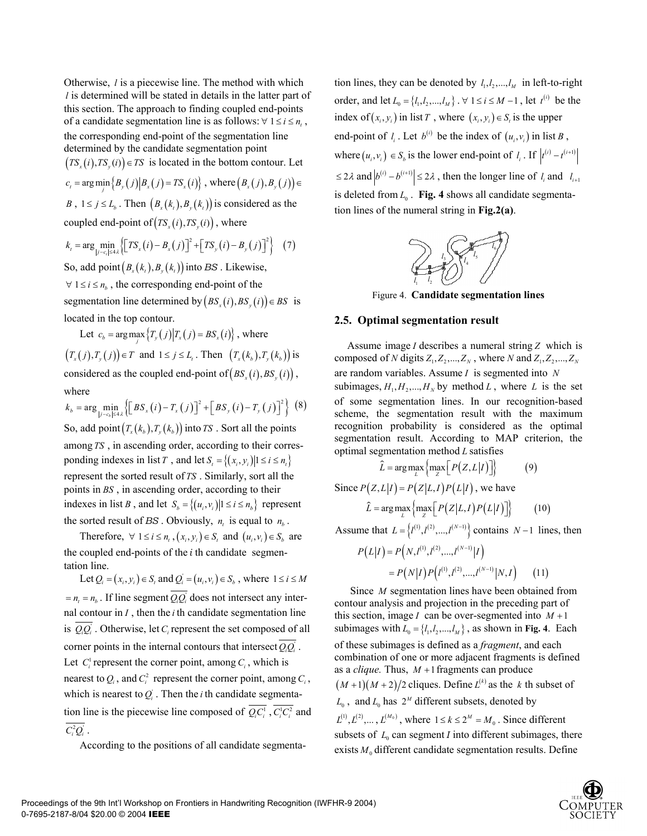Otherwise, *l* is a piecewise line. The method with which *l* is determined will be stated in details in the latter part of this section. The approach to finding coupled end-points of a candidate segmentation line is as follows:  $\forall$  1  $\le i \le n$ , the corresponding end-point of the segmentation line determined by the candidate segmentation point  $(TS<sub>x</sub>(i), TS<sub>y</sub>(i)) \in TS$  is located in the bottom contour. Let  $c_t = \arg \min_j \{ B_y(j) | B_x(j) = TS_x(i) \}, \text{ where } (B_x(j), B_y(j)) \in$ *B*,  $1 \le j \le L_h$ . Then  $(B_r(k_t), B_r(k_t))$  is considered as the coupled end-point of  $(TS_x(i), TS_y(i))$ , where

$$
k_{t} = \arg\min_{|j-c_{t}| \leq 4\lambda} \left\{ \left[ TS_{x}(i) - B_{x}(j) \right]^{2} + \left[ TS_{y}(i) - B_{y}(j) \right]^{2} \right\} (7)
$$

So, add point $(B_r(k_i), B_r(k_i))$  into *BS* . Likewise,  $\forall$  1  $\leq$  *i*  $\leq$  *n<sub>h</sub>*, the corresponding end-point of the segmentation line determined by  $(BS_x(i), BS_y(i)) \in BS$  is located in the top contour.

Let  $c_b = \arg \max_j \{ T_y(j) | T_x(j) = BS_x(i) \}$ , where  $(T_x(j), T_y(j)) \in T$  and  $1 \le j \le L_t$ . Then  $(T_x(k_h), T_y(k_h))$  is considered as the coupled end-point of  $(BS_x(i), BS_y(i))$ , where

 $k_b = \arg \min_{|j - c_b| \le 4\lambda} \left\{ \left[ BS_x(i) - T_x(j) \right]^2 + \left[ BS_y(i) - T_y(j) \right]^2 \right\}$  (8) *b* So, add point  $(T_{\rm r}(k_{\rm h}), T_{\rm r}(k_{\rm h}))$  into *TS* . Sort all the points among *TS* , in ascending order, according to their corresponding indexes in list *T*, and let  $S_i = \{(x_i, y_i) | 1 \le i \le n\}$ represent the sorted result of *TS* . Similarly, sort all the points in *BS* , in ascending order, according to their indexes in list *B*, and let  $S_b = \{(u_i, v_i) | 1 \le i \le n_b\}$  represent the sorted result of *BS* . Obviously,  $n_t$  is equal to  $n_b$ .

Therefore,  $\forall$  1  $\leq$  *i*  $\leq$  *n<sub>i</sub>*,  $(x_i, y_i) \in S$ , and  $(u_i, v_i) \in S$ , are the coupled end-points of the *i* th candidate segmentation line.

Let  $Q_i = (x_i, y_i) \in S$ , and  $Q_i = (u_i, v_i) \in S$ , where  $1 \le i \le M$  $n = n_0 = n_h$ . If line segment *Q,Q<sub>i</sub>* does not intersect any internal contour in *I* , then the *i* th candidate segmentation line is  $Q_i Q_i$ . Otherwise, let  $C_i$  represent the set composed of all corner points in the internal contours that intersect  $Q_{i}Q_{i}$ . Let  $C_i^1$  represent the corner point, among  $C_i$ , which is nearest to  $Q_i$ , and  $C_i^2$  represent the corner point, among  $C_i$ , which is nearest to  $Q_i$ . Then the *i* th candidate segmentation line is the piecewise line composed of  $\overline{Q_i C_i^1}$ ,  $\overline{C_i^1 C_i^2}$  and  $C_i^2 Q_i$ .

According to the positions of all candidate segmenta-

tion lines, they can be denoted by  $l_1, l_2, ..., l_M$  in left-to-right order, and let  $L_0 = \{l_1, l_2, ..., l_M\}$ .  $\forall$  1 ≤ *i* ≤ *M* − 1, let  $t^{(i)}$  be the index of  $(x_i, y_i)$  in list *T*, where  $(x_i, y_i) \in S$ , is the upper end-point of  $l_i$ . Let  $b^{(i)}$  be the index of  $(u_i, v_i)$  in list *B*, where  $(u_i, v_i) \in S_b$  is the lower end-point of  $l_i$ . If  $|t^{(i)} - t^{(i+1)}|$  $\leq 2\lambda$  and  $|b^{(i)} - b^{(i+1)}| \leq 2\lambda$ , then the longer line of  $l_i$  and  $l_{i+1}$ is deleted from  $L_0$ . **Fig. 4** shows all candidate segmentation lines of the numeral string in **Fig.2(a)**.



Figure 4. **Candidate segmentation lines**

#### **2.5. Optimal segmentation result**

Assume image *I* describes a numeral string *Z* which is composed of *N* digits  $Z_1, Z_2, ..., Z_N$ , where *N* and  $Z_1, Z_2, ..., Z_N$ are random variables. Assume *I* is segmented into *N* subimages,  $H_1, H_2, ..., H_N$  by method *L*, where *L* is the set of some segmentation lines. In our recognition-based scheme, the segmentation result with the maximum recognition probability is considered as the optimal segmentation result. According to MAP criterion, the optimal segmentation method *L* satisfies

$$
\widetilde{L} = \arg \max_{L} \left\{ \max_{Z} \left[ P(Z, L | I) \right] \right\} \tag{9}
$$

Since  $P(Z, L|I) = P(Z|L, I) P(L|I)$ , we have

$$
\hat{L} = \arg \max_{L} \left\{ \max_{Z} \left[ P(Z|L, I) P(L|I) \right] \right\} \tag{10}
$$

Assume that  $L = \{ l^{(1)}, l^{(2)}, ..., l^{(N-1)} \}$  contains *N* −1 lines, then

$$
P(L|I) = P(N, I^{(1)}, I^{(2)}, \dots, I^{(N-1)}|I)
$$
  
=  $P(N|I)P(I^{(1)}, I^{(2)}, \dots, I^{(N-1)}|N, I)$  (11)

Since *M* segmentation lines have been obtained from contour analysis and projection in the preceding part of this section, image *I* can be over-segmented into  $M + 1$ subimages with  $L_0 = \{l_1, l_2, ..., l_M\}$ , as shown in **Fig. 4**. Each of these subimages is defined as a *fragment*, and each combination of one or more adjacent fragments is defined as a *clique*. Thus,  $M + 1$  fragments can produce  $(M+1)(M+2)/2$  cliques. Define  $L^{(k)}$  as the *k* th subset of  $L_0$ , and  $L_0$  has  $2^M$  different subsets, denoted by  $L^{(1)}$ ,  $L^{(2)}$ ,....,  $L^{(M_0)}$ , where  $1 \le k \le 2^M = M_0$ . Since different subsets of  $L_0$  can segment *I* into different subimages, there exists  $M_0$  different candidate segmentation results. Define

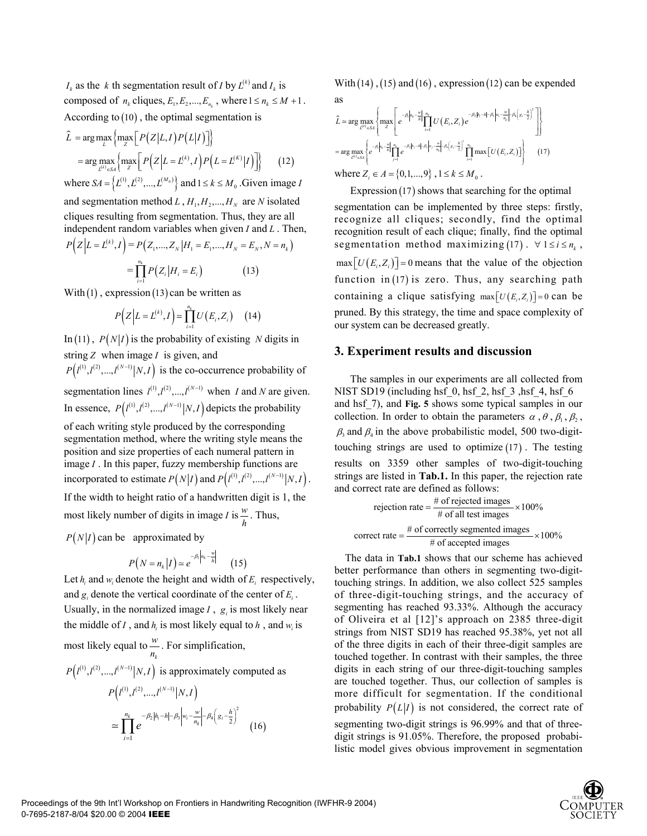$I_k$  as the *k* th segmentation result of *I* by  $L^{(k)}$  and  $I_k$  is composed of  $n_k$  cliques,  $E_1, E_2, ..., E_n$ , where  $1 \le n_k \le M + 1$ . According to (10) , the optimal segmentation is

$$
\hat{L} = \arg \max_{L} \left\{ \max_{Z} \left[ P(Z|L, I) P(L|I) \right] \right\}
$$
\n
$$
= \arg \max_{L^{(k)} \in \mathcal{S}^{\mathcal{A}}} \left\{ \max_{Z} \left[ P(Z|L=L^{(k)}, I) P(L=L^{(K)}|I) \right] \right\} \tag{12}
$$

where  $SA = \{L^{(1)}, L^{(2)}, ..., L^{(M_0)}\}$  and  $1 \le k \le M_0$ . Given image *I* and segmentation method  $L$ ,  $H_1, H_2, ..., H_N$  are *N* isolated

cliques resulting from segmentation. Thus, they are all independent random variables when given *I* and *L* . Then,

$$
P(Z|L = L^{(k)}, I) = P(Z_1, ..., Z_N | H_1 = E_1, ..., H_N = E_N, N = n_k)
$$
  
= 
$$
\prod_{i=1}^{n_k} P(Z_i | H_i = E_i)
$$
 (13)

With  $(1)$ , expression  $(13)$  can be written as

$$
P(Z|L = L^{(k)}, I) \simeq \prod_{i=1}^{n_k} U(E_i, Z_i) \quad (14)
$$

In (11),  $P(N|I)$  is the probability of existing *N* digits in string *Z* when image *I* is given, and

 $P(I^{(1)}, I^{(2)}, \ldots, I^{(N-1)} | N, I)$  is the co-occurrence probability of segmentation lines  $l^{(1)}, l^{(2)}, \ldots, l^{(N-1)}$  when *I* and *N* are given. In essence,  $P(l^{(1)}, l^{(2)}, \ldots, l^{(N-1)} | N, I)$  depicts the probability of each writing style produced by the corresponding segmentation method, where the writing style means the position and size properties of each numeral pattern in image *I* . In this paper, fuzzy membership functions are incorporated to estimate  $P(N|I)$  and  $P(I^{(1)}, I^{(2)}, ..., I^{(N-1)}|N, I)$ . If the width to height ratio of a handwritten digit is 1, the

most likely number of digits in image *I* is  $\frac{w}{h}$ . Thus,

 $P(N|I)$  can be approximated by

$$
P(N = nk | I) \simeq e^{-\beta_1 \left| n_k - \frac{w}{h} \right|} \qquad (15)
$$

Let  $h_i$  and  $w_i$  denote the height and width of  $E_i$  respectively, and  $g_i$  denote the vertical coordinate of the center of  $E_i$ . Usually, in the normalized image  $I$ ,  $g_i$  is most likely near the middle of *I*, and  $h_i$  is most likely equal to  $h$ , and  $w_i$  is

most likely equal to 
$$
\frac{w}{n_k}
$$
. For simplification,  
\n
$$
P(l^{(1)}, l^{(2)}, ..., l^{(N-1)}|N, I)
$$
\nis approximately computed as  
\n
$$
P(l^{(1)}, l^{(2)}, ..., l^{(N-1)}|N, I)
$$
\n
$$
\approx \prod_{i=1}^{n_k} e^{-\beta_2 |h_i - h| - \beta_3 \left| w_i - \frac{w}{n_k} \right| - \beta_4 \left( g_i - \frac{h}{2} \right)^2}
$$
\n(16)

With  $(14)$ ,  $(15)$  and  $(16)$ , expression  $(12)$  can be expended as

$$
\hat{L} = \arg \max_{L^{(4)} \in S4} \left\{ \max_{Z} \left[ e^{-\beta_1 \left| n_i - \frac{1}{h_i} \right|} \prod_{i=1}^{n_i} U(E_i, Z_i) e^{-\beta_2 |h_i - h| - \beta_3 \left| w_i - \frac{1}{n_i} \right| - \beta_4 \left( g_i - \frac{h}{2} \right)^2} \right] \right\}
$$
\n
$$
= \arg \max_{L^{(4)} \in S4} \left\{ e^{-\beta_1 \left| n_i - \frac{1}{h_i} \right|} \prod_{j=1}^{n_i} e^{-\beta_1 \left| h_j - \frac{h}{n_i} \right| - \beta_4 \left( g_j - \frac{h}{2} \right)^2} \prod_{i=1}^{n_i} \max[U(E_i, Z_i)] \right\}
$$
\nwhere  $Z_i \in A = \{0, 1, ..., 9\}$ ,  $1 \le k \le M_0$ . (17)

Expression (17) shows that searching for the optimal

segmentation can be implemented by three steps: firstly, recognize all cliques; secondly, find the optimal recognition result of each clique; finally, find the optimal segmentation method maximizing (17).  $\forall$  1 ≤ *i* ≤  $n_k$ ,  $\max[U(E_i, Z_i)] = 0$  means that the value of the objection function in (17) is zero. Thus, any searching path containing a clique satisfying  $\max[U(E_i, Z_i)] = 0$  can be pruned. By this strategy, the time and space complexity of our system can be decreased greatly.

# **3. Experiment results and discussion**

The samples in our experiments are all collected from NIST SD19 (including hsf $\,$  0, hsf $\,$  2, hsf $\,$  3, hsf $\,$  4, hsf $\,$  6 and hsf\_7), and **Fig. 5** shows some typical samples in our collection. In order to obtain the parameters  $\alpha$ ,  $\theta$ ,  $\beta_1$ ,  $\beta_2$ ,  $\beta_3$  and  $\beta_4$  in the above probabilistic model, 500 two-digittouching strings are used to optimize (17) . The testing results on 3359 other samples of two-digit-touching strings are listed in **Tab.1.** In this paper, the rejection rate and correct rate are defined as follows:

rejection rate = 
$$
\frac{\text{\# of rejected images}}{\text{\# of all test images}} \times 100\%
$$
  
correct rate =  $\frac{\text{\# of correctly segmented images}}{\text{\# of accepted images}} \times 100\%$ 

The data in **Tab.1** shows that our scheme has achieved better performance than others in segmenting two-digittouching strings. In addition, we also collect 525 samples of three-digit-touching strings, and the accuracy of segmenting has reached 93.33%. Although the accuracy of Oliveira et al [12]'s approach on 2385 three-digit strings from NIST SD19 has reached 95.38%, yet not all of the three digits in each of their three-digit samples are touched together. In contrast with their samples, the three digits in each string of our three-digit-touching samples are touched together. Thus, our collection of samples is more difficult for segmentation. If the conditional probability  $P(L|I)$  is not considered, the correct rate of segmenting two-digit strings is 96.99% and that of threedigit strings is 91.05%. Therefore, the proposed probabilistic model gives obvious improvement in segmentation